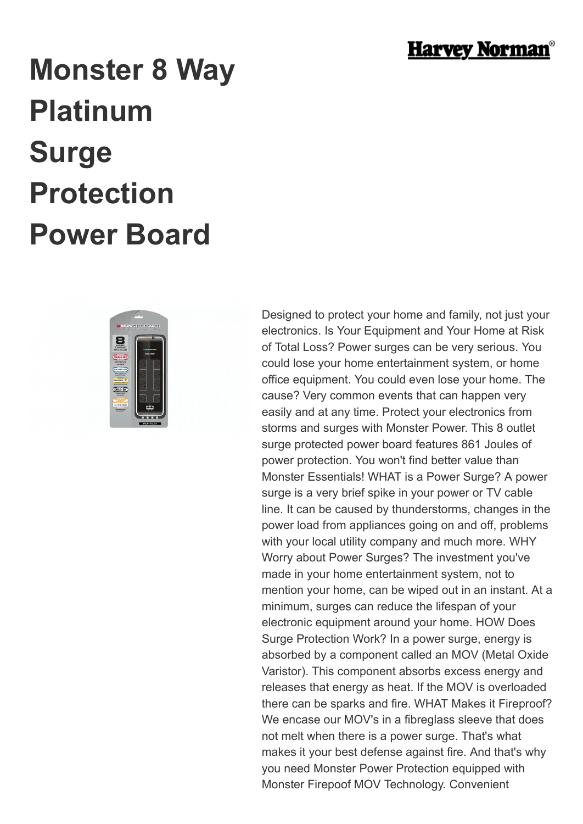

## **Monster 8 Way Platinum Surge Protection Power Board**



Designed to protect your home and family, not just your electronics. Is Your Equipment and Your Home at Risk of Total Loss? Power surges can be very serious. You could lose your home entertainment system, or home office equipment. You could even lose your home. The cause? Very common events that can happen very easily and at any time. Protect your electronics from storms and surges with Monster Power. This 8 outlet surge protected power board features 861 Joules of power protection. You won't find better value than Monster Essentials! WHAT is a Power Surge? A power surge is a very brief spike in your power or TV cable line. It can be caused by thunderstorms, changes in the power load from appliances going on and off, problems with your local utility company and much more. WHY Worry about Power Surges? The investment you've made in your home entertainment system, not to mention your home, can be wiped out in an instant. At a minimum, surges can reduce the lifespan of your electronic equipment around your home. HOW Does Surge Protection Work? In a power surge, energy is absorbed by a component called an MOV (Metal Oxide Varistor). This component absorbs excess energy and releases that energy as heat. If the MOV is overloaded there can be sparks and fire. WHAT Makes it Fireproof? We encase our MOV's in a fibreglass sleeve that does not melt when there is a power surge. That's what makes it your best defense against fire. And that's why you need Monster Power Protection equipped with Monster Firepoof MOV Technology. Convenient